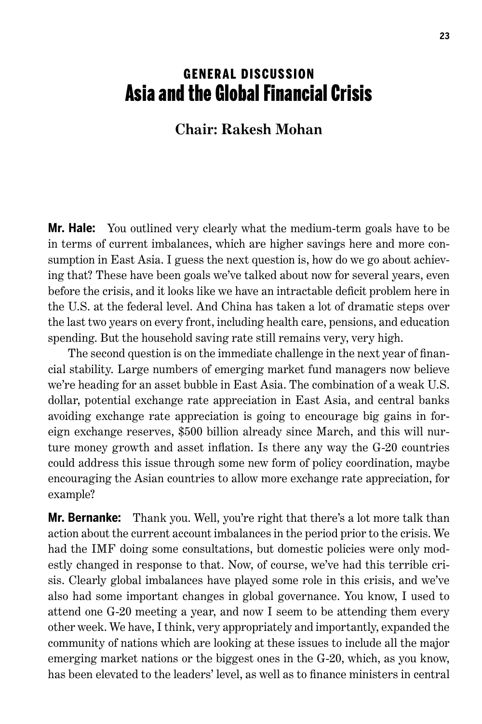## **GENERAL DISCUSSION** Asia and the Global Financial Crisis

## **Chair: Rakesh Mohan**

**Mr. Hale:** You outlined very clearly what the medium-term goals have to be in terms of current imbalances, which are higher savings here and more consumption in East Asia. I guess the next question is, how do we go about achieving that? These have been goals we've talked about now for several years, even before the crisis, and it looks like we have an intractable deficit problem here in the U.S. at the federal level. And China has taken a lot of dramatic steps over the last two years on every front, including health care, pensions, and education spending. But the household saving rate still remains very, very high.

The second question is on the immediate challenge in the next year of financial stability. Large numbers of emerging market fund managers now believe we're heading for an asset bubble in East Asia. The combination of a weak U.S. dollar, potential exchange rate appreciation in East Asia, and central banks avoiding exchange rate appreciation is going to encourage big gains in foreign exchange reserves, \$500 billion already since March, and this will nurture money growth and asset inflation. Is there any way the G-20 countries could address this issue through some new form of policy coordination, maybe encouraging the Asian countries to allow more exchange rate appreciation, for example?

**Mr. Bernanke:** Thank you. Well, you're right that there's a lot more talk than action about the current account imbalances in the period prior to the crisis. We had the IMF doing some consultations, but domestic policies were only modestly changed in response to that. Now, of course, we've had this terrible crisis. Clearly global imbalances have played some role in this crisis, and we've also had some important changes in global governance. You know, I used to attend one G-20 meeting a year, and now I seem to be attending them every other week. We have, I think, very appropriately and importantly, expanded the community of nations which are looking at these issues to include all the major emerging market nations or the biggest ones in the G-20, which, as you know, has been elevated to the leaders' level, as well as to finance ministers in central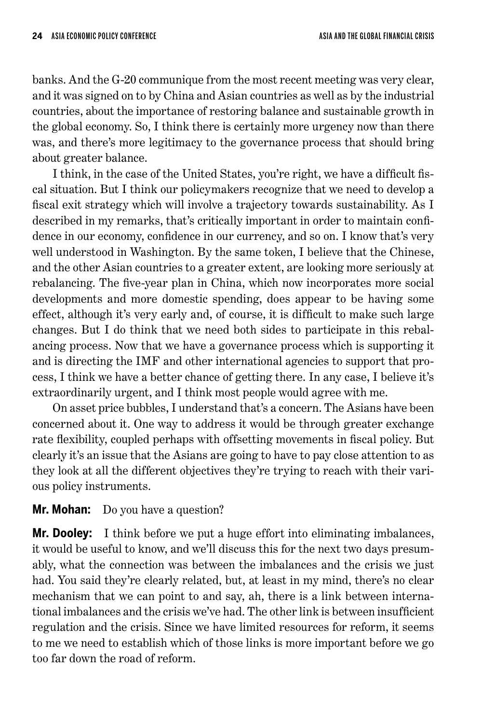banks. And the G-20 communique from the most recent meeting was very clear, and it was signed on to by China and Asian countries as well as by the industrial countries, about the importance of restoring balance and sustainable growth in the global economy. So, I think there is certainly more urgency now than there was, and there's more legitimacy to the governance process that should bring about greater balance.

I think, in the case of the United States, you're right, we have a difficult fiscal situation. But I think our policymakers recognize that we need to develop a fiscal exit strategy which will involve a trajectory towards sustainability. As I described in my remarks, that's critically important in order to maintain confidence in our economy, confidence in our currency, and so on. I know that's very well understood in Washington. By the same token, I believe that the Chinese, and the other Asian countries to a greater extent, are looking more seriously at rebalancing. The five-year plan in China, which now incorporates more social developments and more domestic spending, does appear to be having some effect, although it's very early and, of course, it is difficult to make such large changes. But I do think that we need both sides to participate in this rebalancing process. Now that we have a governance process which is supporting it and is directing the IMF and other international agencies to support that process, I think we have a better chance of getting there. In any case, I believe it's extraordinarily urgent, and I think most people would agree with me.

On asset price bubbles, I understand that's a concern. The Asians have been concerned about it. One way to address it would be through greater exchange rate flexibility, coupled perhaps with offsetting movements in fiscal policy. But clearly it's an issue that the Asians are going to have to pay close attention to as they look at all the different objectives they're trying to reach with their various policy instruments.

## **Mr. Mohan:** Do you have a question?

**Mr. Dooley:** I think before we put a huge effort into eliminating imbalances, it would be useful to know, and we'll discuss this for the next two days presumably, what the connection was between the imbalances and the crisis we just had. You said they're clearly related, but, at least in my mind, there's no clear mechanism that we can point to and say, ah, there is a link between international imbalances and the crisis we've had. The other link is between insufficient regulation and the crisis. Since we have limited resources for reform, it seems to me we need to establish which of those links is more important before we go too far down the road of reform.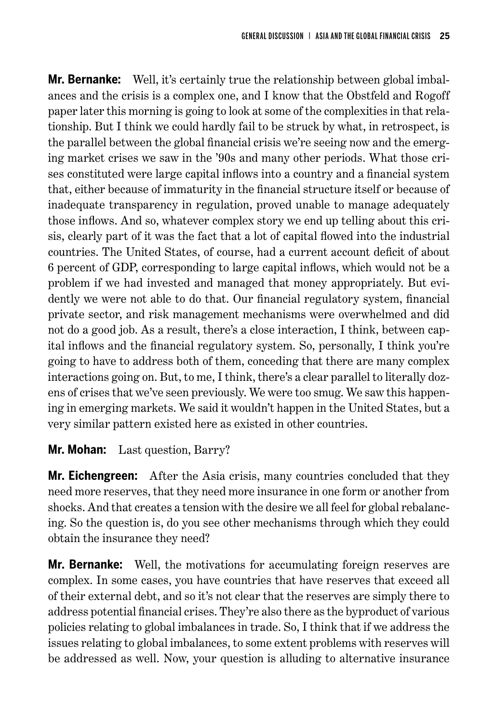**Mr. Bernanke:** Well, it's certainly true the relationship between global imbalances and the crisis is a complex one, and I know that the Obstfeld and Rogoff paper later this morning is going to look at some of the complexities in that relationship. But I think we could hardly fail to be struck by what, in retrospect, is the parallel between the global financial crisis we're seeing now and the emerging market crises we saw in the '90s and many other periods. What those crises constituted were large capital inflows into a country and a financial system that, either because of immaturity in the financial structure itself or because of inadequate transparency in regulation, proved unable to manage adequately those inflows. And so, whatever complex story we end up telling about this crisis, clearly part of it was the fact that a lot of capital flowed into the industrial countries. The United States, of course, had a current account deficit of about 6 percent of GDP, corresponding to large capital inflows, which would not be a problem if we had invested and managed that money appropriately. But evidently we were not able to do that. Our financial regulatory system, financial private sector, and risk management mechanisms were overwhelmed and did not do a good job. As a result, there's a close interaction, I think, between capital inflows and the financial regulatory system. So, personally, I think you're going to have to address both of them, conceding that there are many complex interactions going on. But, to me, I think, there's a clear parallel to literally dozens of crises that we've seen previously. We were too smug. We saw this happening in emerging markets. We said it wouldn't happen in the United States, but a very similar pattern existed here as existed in other countries.

## **Mr. Mohan:** Last question, Barry?

**Mr. Eichengreen:** After the Asia crisis, many countries concluded that they need more reserves, that they need more insurance in one form or another from shocks. And that creates a tension with the desire we all feel for global rebalancing. So the question is, do you see other mechanisms through which they could obtain the insurance they need?

**Mr. Bernanke:** Well, the motivations for accumulating foreign reserves are complex. In some cases, you have countries that have reserves that exceed all of their external debt, and so it's not clear that the reserves are simply there to address potential financial crises. They're also there as the byproduct of various policies relating to global imbalances in trade. So, I think that if we address the issues relating to global imbalances, to some extent problems with reserves will be addressed as well. Now, your question is alluding to alternative insurance